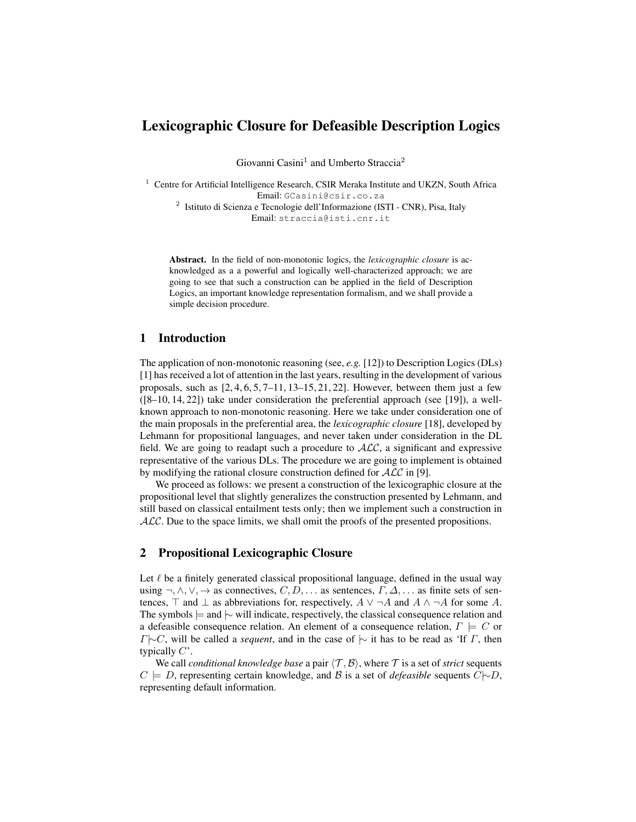# Lexicographic Closure for Defeasible Description Logics

Giovanni Casini<sup>1</sup> and Umberto Straccia<sup>2</sup>

<sup>1</sup> Centre for Artificial Intelligence Research, CSIR Meraka Institute and UKZN, South Africa Email: GCasini@csir.co.za <sup>2</sup> Istituto di Scienza e Tecnologie dell'Informazione (ISTI - CNR), Pisa, Italy Email: straccia@isti.cnr.it

Abstract. In the field of non-monotonic logics, the *lexicographic closure* is acknowledged as a a powerful and logically well-characterized approach; we are going to see that such a construction can be applied in the field of Description Logics, an important knowledge representation formalism, and we shall provide a simple decision procedure.

# 1 Introduction

The application of non-monotonic reasoning (see, *e.g.* [12]) to Description Logics (DLs) [1] has received a lot of attention in the last years, resulting in the development of various proposals, such as  $[2, 4, 6, 5, 7-11, 13-15, 21, 22]$ . However, between them just a few ([8–10, 14, 22]) take under consideration the preferential approach (see [19]), a wellknown approach to non-monotonic reasoning. Here we take under consideration one of the main proposals in the preferential area, the *lexicographic closure* [18], developed by Lehmann for propositional languages, and never taken under consideration in the DL field. We are going to readapt such a procedure to  $\text{ALC}$ , a significant and expressive representative of the various DLs. The procedure we are going to implement is obtained by modifying the rational closure construction defined for  $ALC$  in [9].

We proceed as follows: we present a construction of the lexicographic closure at the propositional level that slightly generalizes the construction presented by Lehmann, and still based on classical entailment tests only; then we implement such a construction in  $ALC$ . Due to the space limits, we shall omit the proofs of the presented propositions.

## 2 Propositional Lexicographic Closure

Let  $\ell$  be a finitely generated classical propositional language, defined in the usual way using  $\neg, \wedge, \vee, \rightarrow$  as connectives,  $C, D, \dots$  as sentences,  $\Gamma, \Delta, \dots$  as finite sets of sentences,  $\top$  and  $\bot$  as abbreviations for, respectively,  $A \lor \neg A$  and  $A \land \neg A$  for some A. The symbols  $\models$  and  $\sim$  will indicate, respectively, the classical consequence relation and a defeasible consequence relation. An element of a consequence relation,  $\Gamma \models C$  or  $\Gamma \sim C$ , will be called a *sequent*, and in the case of  $\sim$  it has to be read as 'If  $\Gamma$ , then typically  $C'$ .

We call *conditional knowledge base* a pair  $\langle \mathcal{T}, \mathcal{B} \rangle$ , where  $\mathcal{T}$  is a set of *strict* sequents  $C \models D$ , representing certain knowledge, and B is a set of *defeasible* sequents  $C \models D$ , representing default information.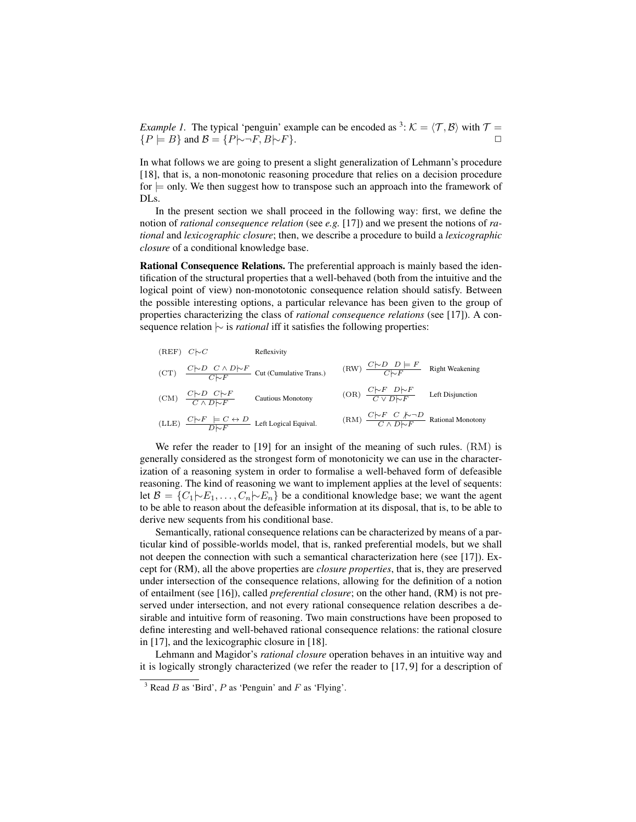*Example 1.* The typical 'penguin' example can be encoded as <sup>3</sup>:  $K = \langle T, B \rangle$  with  $T =$  ${P \models B}$  and  $B = {P \rightarrow F, B \rightarrow F}.$   $\Box$ 

In what follows we are going to present a slight generalization of Lehmann's procedure [18], that is, a non-monotonic reasoning procedure that relies on a decision procedure  $f$  for  $\equiv$  only. We then suggest how to transpose such an approach into the framework of DLs.

In the present section we shall proceed in the following way: first, we define the notion of *rational consequence relation* (see *e.g.* [17]) and we present the notions of *rational* and *lexicographic closure*; then, we describe a procedure to build a *lexicographic closure* of a conditional knowledge base.

Rational Consequence Relations. The preferential approach is mainly based the identification of the structural properties that a well-behaved (both from the intuitive and the logical point of view) non-monototonic consequence relation should satisfy. Between the possible interesting options, a particular relevance has been given to the group of properties characterizing the class of *rational consequence relations* (see [17]). A consequence relation  $\sim$  is *rational* iff it satisfies the following properties:

| $(REF)$ $C\sim C$ |                                                                                                         | Reflexivity                                                                     |                                                                                       |                  |
|-------------------|---------------------------------------------------------------------------------------------------------|---------------------------------------------------------------------------------|---------------------------------------------------------------------------------------|------------------|
|                   |                                                                                                         | (CT) $\frac{C \sim D \quad C \land D \sim F}{C \sim F}$ Cut (Cumulative Trans.) | (RW) $\frac{C\cap D}{C\cap F}$ Right Weakening                                        |                  |
|                   | (CM) $\frac{C \sim D \quad C \sim F}{C \land D \sim F}$                                                 | <b>Cautious Monotony</b>                                                        | (OR) $\frac{C \uparrow F \quad D \uparrow F}{C \lor D \uparrow F}$                    | Left Disjunction |
|                   | (LLE) $\frac{C \triangleright F \models C \leftrightarrow D}{D \triangleright F}$ Left Logical Equival. |                                                                                 | $(RM)$ $\frac{C \nmid P \cap C \nmid P \cap D}{C \wedge D \nmid P}$ Rational Monotony |                  |

We refer the reader to [19] for an insight of the meaning of such rules. (RM) is generally considered as the strongest form of monotonicity we can use in the characterization of a reasoning system in order to formalise a well-behaved form of defeasible reasoning. The kind of reasoning we want to implement applies at the level of sequents: let  $\mathcal{B} = \{C_1 | \negthickspace \sim E_1, \ldots, C_n | \negthickspace \sim E_n\}$  be a conditional knowledge base; we want the agent to be able to reason about the defeasible information at its disposal, that is, to be able to derive new sequents from his conditional base.

Semantically, rational consequence relations can be characterized by means of a particular kind of possible-worlds model, that is, ranked preferential models, but we shall not deepen the connection with such a semantical characterization here (see [17]). Except for (RM), all the above properties are *closure properties*, that is, they are preserved under intersection of the consequence relations, allowing for the definition of a notion of entailment (see [16]), called *preferential closure*; on the other hand, (RM) is not preserved under intersection, and not every rational consequence relation describes a desirable and intuitive form of reasoning. Two main constructions have been proposed to define interesting and well-behaved rational consequence relations: the rational closure in [17], and the lexicographic closure in [18].

Lehmann and Magidor's *rational closure* operation behaves in an intuitive way and it is logically strongly characterized (we refer the reader to [17, 9] for a description of

<sup>&</sup>lt;sup>3</sup> Read *B* as 'Bird', *P* as 'Penguin' and *F* as 'Flying'.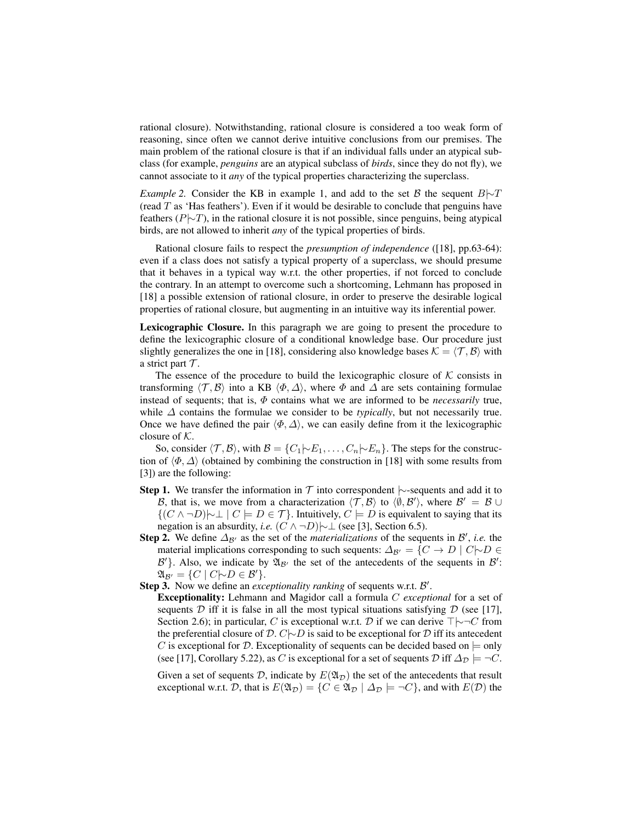rational closure). Notwithstanding, rational closure is considered a too weak form of reasoning, since often we cannot derive intuitive conclusions from our premises. The main problem of the rational closure is that if an individual falls under an atypical subclass (for example, *penguins* are an atypical subclass of *birds*, since they do not fly), we cannot associate to it *any* of the typical properties characterizing the superclass.

*Example 2.* Consider the KB in example 1, and add to the set B the sequent B $\sim$ T (read  $T$  as 'Has feathers'). Even if it would be desirable to conclude that penguins have feathers ( $P\sim T$ ), in the rational closure it is not possible, since penguins, being atypical birds, are not allowed to inherit *any* of the typical properties of birds.

Rational closure fails to respect the *presumption of independence* ([18], pp.63-64): even if a class does not satisfy a typical property of a superclass, we should presume that it behaves in a typical way w.r.t. the other properties, if not forced to conclude the contrary. In an attempt to overcome such a shortcoming, Lehmann has proposed in [18] a possible extension of rational closure, in order to preserve the desirable logical properties of rational closure, but augmenting in an intuitive way its inferential power.

Lexicographic Closure. In this paragraph we are going to present the procedure to define the lexicographic closure of a conditional knowledge base. Our procedure just slightly generalizes the one in [18], considering also knowledge bases  $K = \langle T, B \rangle$  with a strict part  $\mathcal T$ .

The essence of the procedure to build the lexicographic closure of  $K$  consists in transforming  $\langle T, \mathcal{B} \rangle$  into a KB  $\langle \Phi, \Delta \rangle$ , where  $\Phi$  and  $\Delta$  are sets containing formulae instead of sequents; that is,  $\Phi$  contains what we are informed to be *necessarily* true, while ∆ contains the formulae we consider to be *typically*, but not necessarily true. Once we have defined the pair  $\langle \Phi, \Delta \rangle$ , we can easily define from it the lexicographic closure of  $K$ .

So, consider  $\langle \mathcal{T}, \mathcal{B} \rangle$ , with  $\mathcal{B} = \{C_1 | \neg E_1, \dots, C_n | \neg E_n\}$ . The steps for the construction of  $\langle \Phi, \Delta \rangle$  (obtained by combining the construction in [18] with some results from [3]) are the following:

- **Step 1.** We transfer the information in  $\mathcal T$  into correspondent  $\sim$ -sequents and add it to B, that is, we move from a characterization  $\langle \mathcal{T}, \mathcal{B} \rangle$  to  $\langle \emptyset, \mathcal{B}' \rangle$ , where  $\mathcal{B}' = \mathcal{B} \cup$  ${(C \land \neg D) \rightarrow \bot \mid C \models D \in \mathcal{T}}$ . Intuitively,  $C \models D$  is equivalent to saying that its negation is an absurdity, *i.e.*  $(C \land \neg D)$  | $\sim \bot$  (see [3], Section 6.5).
- **Step 2.** We define  $\Delta_{\mathcal{B}'}$  as the set of the *materializations* of the sequents in  $\mathcal{B}'$ , *i.e.* the material implications corresponding to such sequents:  $\Delta_{\mathcal{B}'} = \{C \rightarrow D \mid C \mid \neg D \in \mathcal{B}\}$  $\mathcal{B}'$ . Also, we indicate by  $\mathfrak{A}_{\mathcal{B}'}$  the set of the antecedents of the sequents in  $\mathcal{B}'$ :  $\mathfrak{A}_{\mathcal{B}'} = \{C \mid C \sim D \in \mathcal{B}'\}.$
- Step 3. Now we define an *exceptionality ranking* of sequents w.r.t. B'.
	- Exceptionality: Lehmann and Magidor call a formula C *exceptional* for a set of sequents  $D$  iff it is false in all the most typical situations satisfying  $D$  (see [17], Section 2.6); in particular, C is exceptional w.r.t. D if we can derive  $\top \rightarrow \top C$  from the preferential closure of  $D$ .  $C$ |∼ $D$  is said to be exceptional for  $D$  iff its antecedent C is exceptional for D. Exceptionality of sequents can be decided based on  $\models$  only (see [17], Corollary 5.22), as C is exceptional for a set of sequents  $\mathcal D$  iff  $\Delta_{\mathcal D} \models \neg C$ .

Given a set of sequents D, indicate by  $E(\mathfrak{A}_{\mathcal{D}})$  the set of the antecedents that result exceptional w.r.t. D, that is  $E(\mathfrak{A}_D) = \{C \in \mathfrak{A}_D \mid \Delta_D \models \neg C\}$ , and with  $E(\mathcal{D})$  the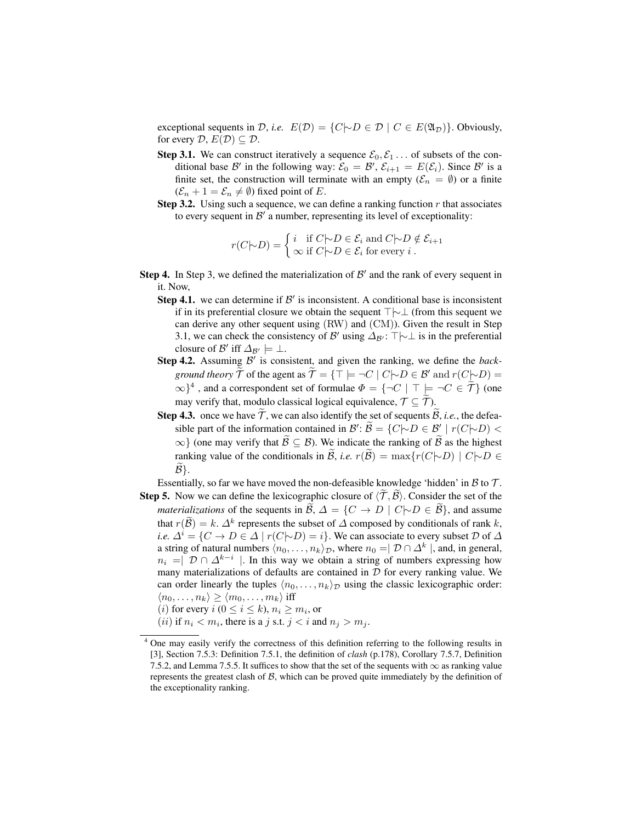exceptional sequents in  $D$ , *i.e.*  $E(D) = \{C \mid D \in D \mid C \in E(\mathfrak{A}_D)\}\)$ . Obviously, for every  $D, E(D) \subseteq D$ .

- **Step 3.1.** We can construct iteratively a sequence  $\mathcal{E}_0, \mathcal{E}_1 \dots$  of subsets of the conditional base  $\mathcal{B}'$  in the following way:  $\mathcal{E}_0 = \mathcal{B}', \mathcal{E}_{i+1} = E(\mathcal{E}_i)$ . Since  $\mathcal{B}'$  is a finite set, the construction will terminate with an empty  $(\mathcal{E}_n = \emptyset)$  or a finite  $(\mathcal{E}_n + 1 = \mathcal{E}_n \neq \emptyset)$  fixed point of E.
- **Step 3.2.** Using such a sequence, we can define a ranking function  $r$  that associates to every sequent in  $\mathcal{B}'$  a number, representing its level of exceptionality:

$$
r(C|\sim D) = \begin{cases} i & \text{if } C|\sim D \in \mathcal{E}_i \text{ and } C|\sim D \notin \mathcal{E}_{i+1} \\ \infty & \text{if } C|\sim D \in \mathcal{E}_i \text{ for every } i \end{cases}.
$$

- Step 4. In Step 3, we defined the materialization of  $\mathcal{B}'$  and the rank of every sequent in it. Now,
	- Step 4.1. we can determine if  $\mathcal{B}'$  is inconsistent. A conditional base is inconsistent if in its preferential closure we obtain the sequent  $\top \rightarrow \bot$  (from this sequent we can derive any other sequent using (RW) and (CM)). Given the result in Step 3.1, we can check the consistency of B' using  $\Delta_{\mathcal{B}'}$ :  $\top \rightarrow \bot$  is in the preferential closure of  $\mathcal{B}'$  iff  $\Delta_{\mathcal{B}'} \models \bot$ .
	- Step 4.2. Assuming B' is consistent, and given the ranking, we define the *background theory*  $\widetilde{T}$  of the agent as  $\widetilde{T} = {\top \models \neg C \mid C \neg D \in \mathcal{B}' \text{ and } r(C \neg D) =$  $\{\infty\}^4$ , and a correspondent set of formulae  $\Phi = \{\neg C \mid \top \models \neg C \in \tilde{\mathcal{T}}\}$  (one may verify that, modulo classical logical equivalence,  $\mathcal{T} \subseteq \widetilde{\mathcal{T}}$ ).
	- Step 4.3. once we have  $\mathcal{T}$ , we can also identify the set of sequents  $\mathcal{B}$ , *i.e.*, the defeasible part of the information contained in  $\mathcal{B}' : \widetilde{\mathcal{B}} = \{ C | \neg D \in \mathcal{B}' \mid r(C | \neg D) \leq C \}$  $\{\infty\}$  (one may verify that  $\widetilde{\mathcal{B}} \subseteq \mathcal{B}$ ). We indicate the ranking of  $\widetilde{\mathcal{B}}$  as the highest ranking value of the conditionals in  $\tilde{\mathcal{B}}$ , *i.e.*  $r(\tilde{\mathcal{B}}) = \max\{r(C|\sim D) \mid C|\sim D \in$  $\widehat{\mathcal{B}}$ .

Essentially, so far we have moved the non-defeasible knowledge 'hidden' in  $\beta$  to  $\mathcal{T}$ .

**Step 5.** Now we can define the lexicographic closure of  $\langle \mathcal{T}, \mathcal{B} \rangle$ . Consider the set of the *materializations* of the sequents in B,  $\Delta = \{C \rightarrow D \mid C \mid \neg D \in \mathcal{B}\}\$ , and assume that  $r(\tilde{B}) = k$ .  $\Delta^k$  represents the subset of  $\Delta$  composed by conditionals of rank k, *i.e.*  $\Delta^{i} = \{C \to D \in \Delta \mid r(C|\sim D) = i\}$ . We can associate to every subset  $D$  of  $\Delta$ a string of natural numbers  $\langle n_0, \ldots, n_k \rangle_{\mathcal{D}}$ , where  $n_0 = \mid \mathcal{D} \cap \Delta^k \mid$ , and, in general,  $n_i = \mid \mathcal{D} \cap \Delta^{k-i} \mid$ . In this way we obtain a string of numbers expressing how many materializations of defaults are contained in  $D$  for every ranking value. We can order linearly the tuples  $\langle n_0, \ldots, n_k \rangle_{\mathcal{D}}$  using the classic lexicographic order:  $\langle n_0, \ldots, n_k \rangle \geq \langle m_0, \ldots, m_k \rangle$  iff

(*i*) for every  $i$  ( $0 \le i \le k$ ),  $n_i \ge m_i$ , or

(*ii*) if  $n_i < m_i$ , there is a *j* s.t.  $j < i$  and  $n_j > m_j$ .

<sup>&</sup>lt;sup>4</sup> One may easily verify the correctness of this definition referring to the following results in [3], Section 7.5.3: Definition 7.5.1, the definition of *clash* (p.178), Corollary 7.5.7, Definition 7.5.2, and Lemma 7.5.5. It suffices to show that the set of the sequents with  $\infty$  as ranking value represents the greatest clash of  $\beta$ , which can be proved quite immediately by the definition of the exceptionality ranking.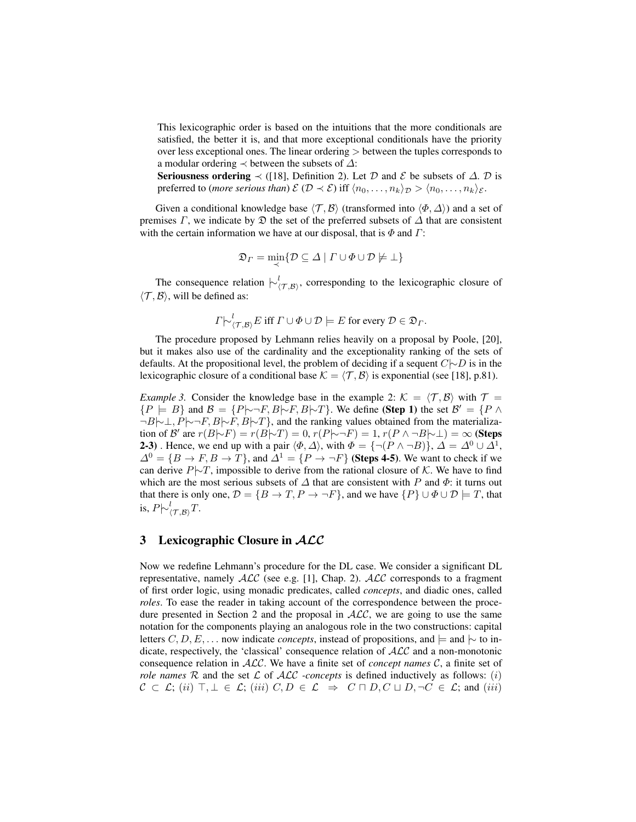This lexicographic order is based on the intuitions that the more conditionals are satisfied, the better it is, and that more exceptional conditionals have the priority over less exceptional ones. The linear ordering > between the tuples corresponds to a modular ordering  $\prec$  between the subsets of  $\Delta$ :

Seriousness ordering  $\prec$  ([18], Definition 2). Let D and E be subsets of  $\Delta$ . D is preferred to (*more serious than*)  $\mathcal{E}(\mathcal{D} \prec \mathcal{E})$  iff  $\langle n_0, \ldots, n_k \rangle_{\mathcal{D}} > \langle n_0, \ldots, n_k \rangle_{\mathcal{E}}$ .

Given a conditional knowledge base  $\langle \mathcal{T}, \mathcal{B} \rangle$  (transformed into  $\langle \Phi, \Delta \rangle$ ) and a set of premises  $\Gamma$ , we indicate by  $\mathfrak D$  the set of the preferred subsets of  $\Delta$  that are consistent with the certain information we have at our disposal, that is  $\Phi$  and  $\Gamma$ :

$$
\mathfrak{D}_{\varGamma} = \min_{\prec} \{ \mathcal{D} \subseteq \varDelta \mid \varGamma \cup \varPhi \cup \mathcal{D} \not\models \bot \}
$$

The consequence relation  $\vdash^l_{(T,B)}$ , corresponding to the lexicographic closure of  $\langle \mathcal{T}, \mathcal{B} \rangle$ , will be defined as:

$$
\Gamma \models^{\iota} (\tau, \mathcal{B}) E
$$
 iff  $\Gamma \cup \Phi \cup \mathcal{D} \models E$  for every  $\mathcal{D} \in \mathfrak{D}_{\Gamma}$ .

The procedure proposed by Lehmann relies heavily on a proposal by Poole, [20], but it makes also use of the cardinality and the exceptionality ranking of the sets of defaults. At the propositional level, the problem of deciding if a sequent  $C\sim D$  is in the lexicographic closure of a conditional base  $K = \langle T, B \rangle$  is exponential (see [18], p.81).

*Example 3.* Consider the knowledge base in the example 2:  $K = \langle T, B \rangle$  with  $T =$  ${P \models B}$  and  $B = {P \rightarrow F, B \rightarrow F, B \rightarrow T}$ . We define (Step 1) the set  $B' = {P \land B}$  $\neg B|\sim\perp, P|\sim\neg F, B|\sim\perp, B|\sim\perp$ , and the ranking values obtained from the materialization of B' are  $r(B|\sim F) = r(B|\sim T) = 0$ ,  $r(P|\sim \neg F) = 1$ ,  $r(P \land \neg B|\sim \perp) = \infty$  (Steps **2-3**). Hence, we end up with a pair  $\langle \Phi, \Delta \rangle$ , with  $\Phi = {\neg (P \land \neg B)}$ ,  $\Delta = \Delta^0 \cup \Delta^1$ ,  $\Delta^{0} = \{B \to F, B \to T\}$ , and  $\Delta^{1} = \{P \to \neg F\}$  (Steps 4-5). We want to check if we can derive  $P\sim T$ , impossible to derive from the rational closure of K. We have to find which are the most serious subsets of  $\Delta$  that are consistent with P and  $\Phi$ : it turns out that there is only one,  $\mathcal{D} = \{B \to T, P \to \neg F\}$ , and we have  $\{P\} \cup \Phi \cup \mathcal{D} \models T$ , that is,  $P\vert \sim_{\langle \mathcal{T},\mathcal{B}\rangle}^l T$ .

#### 3 Lexicographic Closure in  $ALC$

Now we redefine Lehmann's procedure for the DL case. We consider a significant DL representative, namely  $\text{ALC}$  (see e.g. [1], Chap. 2).  $\text{ALC}$  corresponds to a fragment of first order logic, using monadic predicates, called *concepts*, and diadic ones, called *roles*. To ease the reader in taking account of the correspondence between the procedure presented in Section 2 and the proposal in  $ALC$ , we are going to use the same notation for the components playing an analogous role in the two constructions: capital letters  $C, D, E, \ldots$  now indicate *concepts*, instead of propositions, and  $\models$  and  $\models$  to indicate, respectively, the 'classical' consequence relation of ALC and a non-monotonic consequence relation in ALC. We have a finite set of *concept names* C, a finite set of *role names*  $R$  and the set  $\mathcal L$  of  $\mathcal{ALC}$  *-concepts* is defined inductively as follows: (i)  $C \subset \mathcal{L}$ ; (ii)  $\top, \bot \in \mathcal{L}$ ; (iii)  $C, D \in \mathcal{L} \Rightarrow C \sqcap D, C \sqcup D, \neg C \in \mathcal{L}$ ; and (iii)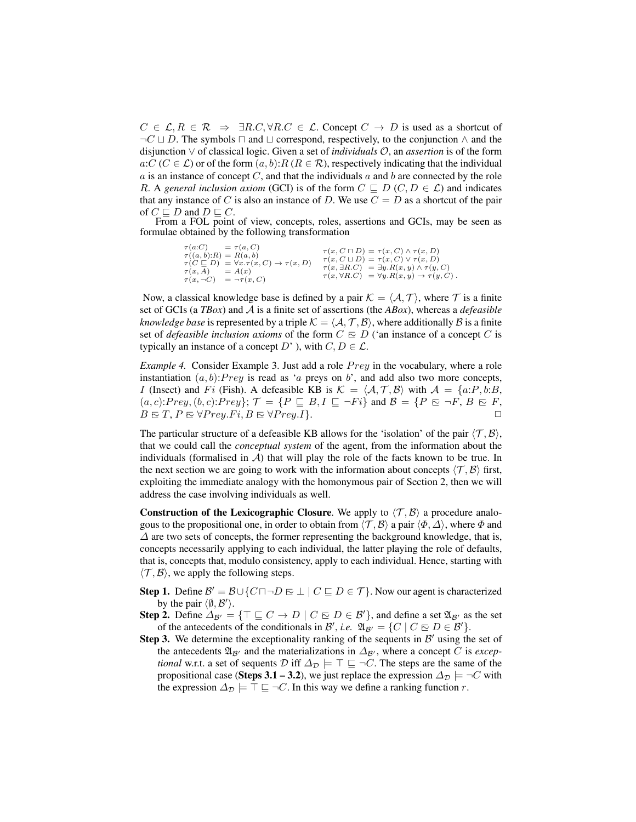$C \in \mathcal{L}, R \in \mathcal{R} \Rightarrow \exists R.C, \forall R.C \in \mathcal{L}$ . Concept  $C \rightarrow D$  is used as a shortcut of  $\neg C \sqcup D$ . The symbols  $\sqcap$  and  $\sqcup$  correspond, respectively, to the conjunction  $\land$  and the disjunction ∨ of classical logic. Given a set of *individuals* O, an *assertion* is of the form  $a:C(C \in \mathcal{L})$  or of the form  $(a, b):R (R \in \mathcal{R})$ , respectively indicating that the individual  $a$  is an instance of concept  $C$ , and that the individuals  $a$  and  $b$  are connected by the role R. A *general inclusion axiom* (GCI) is of the form  $C \subseteq D$  ( $C, D \in \mathcal{L}$ ) and indicates that any instance of C is also an instance of D. We use  $C = D$  as a shortcut of the pair of  $C \sqsubset D$  and  $D \sqsubset C$ .

From a FOL point of view, concepts, roles, assertions and GCIs, may be seen as formulae obtained by the following transformation

$$
\tau(a:C) = \tau(a,C) \n\tau((a,b):R) = R(a,b) \n\tau(C \sqsubseteq D) = \tau(x,C) \rightarrow \tau(x,D) \n\tau(C \sqsubseteq D) = \tau(x,C) \rightarrow \tau(x,D) \n\tau(x,A) = A(x) \n\tau(x,A) = \tau(x,C) \n\tau(x,B,C) = \exists y.R(x,y) \land \tau(y,C) \n\tau(x,\neg C) = \neg \tau(x,C) \n\tau(x,\forall R.C) = \forall y.R(x,y) \rightarrow \tau(y,C).
$$

Now, a classical knowledge base is defined by a pair  $\mathcal{K} = \langle \mathcal{A}, \mathcal{T} \rangle$ , where  $\mathcal{T}$  is a finite set of GCIs (a *TBox*) and A is a finite set of assertions (the *ABox*), whereas a *defeasible knowledge base* is represented by a triple  $K = \langle A, T, B \rangle$ , where additionally B is a finite set of *defeasible inclusion axioms* of the form  $C \nsubseteq D$  ('an instance of a concept C is typically an instance of a concept D' ), with  $C, D \in \mathcal{L}$ .

*Example 4.* Consider Example 3. Just add a role *Prey* in the vocabulary, where a role instantiation  $(a, b)$ : Prey is read as 'a preys on b', and add also two more concepts, I (Insect) and Fi (Fish). A defeasible KB is  $K = \langle A, \mathcal{T}, \mathcal{B} \rangle$  with  $\mathcal{A} = \{a:P, b:B,$  $(a, c):Prey, (b, c):Prey\}; \mathcal{T} = \{P \sqsubseteq B, I \sqsubseteq \neg Fi\}$  and  $\mathcal{B} = \{P \sqsubseteq \neg F, B \sqsubseteq F, P \sqsubseteq \neg F\}$  $B \in T, P \in \forall Prey. Fi, B \in \forall Prey. I$ .  $\square$ 

The particular structure of a defeasible KB allows for the 'isolation' of the pair  $\langle \mathcal{T}, \mathcal{B} \rangle$ , that we could call the *conceptual system* of the agent, from the information about the individuals (formalised in  $A$ ) that will play the role of the facts known to be true. In the next section we are going to work with the information about concepts  $\langle \mathcal{T}, \mathcal{B} \rangle$  first, exploiting the immediate analogy with the homonymous pair of Section 2, then we will address the case involving individuals as well.

**Construction of the Lexicographic Closure.** We apply to  $\langle \mathcal{T}, \mathcal{B} \rangle$  a procedure analogous to the propositional one, in order to obtain from  $\langle \mathcal{T}, \mathcal{B} \rangle$  a pair  $\langle \Phi, \Delta \rangle$ , where  $\Phi$  and  $\Delta$  are two sets of concepts, the former representing the background knowledge, that is, concepts necessarily applying to each individual, the latter playing the role of defaults, that is, concepts that, modulo consistency, apply to each individual. Hence, starting with  $\langle \mathcal{T}, \mathcal{B} \rangle$ , we apply the following steps.

- **Step 1.** Define  $\mathcal{B}' = \mathcal{B} \cup \{C \sqcap \neg D \sqsubseteq \bot \mid C \sqsubseteq D \in \mathcal{T}\}$ . Now our agent is characterized by the pair  $\langle \emptyset, \mathcal{B}' \rangle$ .
- **Step 2.** Define  $\Delta_{\mathcal{B}'} = {\top \sqsubseteq C \rightarrow D \mid C \sqsubseteq D \in \mathcal{B}'},$  and define a set  $\mathfrak{A}_{\mathcal{B}'}$  as the set of the antecedents of the conditionals in B', *i.e.*  $\mathfrak{A}_{\mathcal{B}'} = \{C \mid C \subseteq D \in \mathcal{B}'\}.$
- Step 3. We determine the exceptionality ranking of the sequents in  $\mathcal{B}'$  using the set of the antecedents  $\mathfrak{A}_{\mathcal{B}'}$  and the materializations in  $\Delta_{\mathcal{B}'},$  where a concept C is *exceptional* w.r.t. a set of sequents  $\mathcal{D}$  iff  $\Delta_{\mathcal{D}}$   $\models \top \sqsubseteq \neg C$ . The steps are the same of the propositional case (Steps 3.1 – 3.2), we just replace the expression  $\Delta_{\mathcal{D}} \models \neg C$  with the expression  $\Delta_{\mathcal{D}}$   $\models \top \sqsubseteq \neg C$ . In this way we define a ranking function r.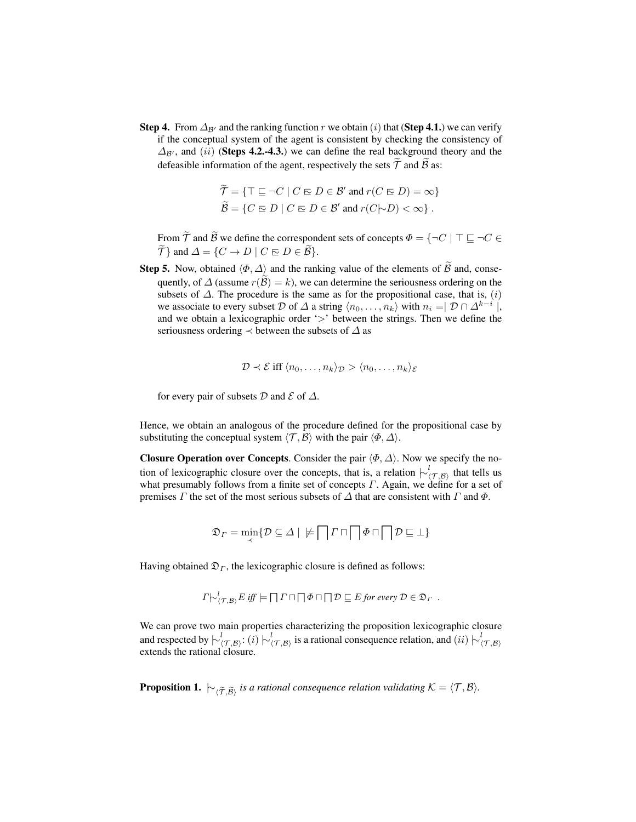**Step 4.** From  $\Delta_{\mathcal{B}}$  and the ranking function r we obtain (i) that (Step 4.1.) we can verify if the conceptual system of the agent is consistent by checking the consistency of  $\Delta_{\mathcal{B}}$ , and (ii) (Steps 4.2.-4.3.) we can define the real background theory and the defeasible information of the agent, respectively the sets  $\widetilde{\mathcal{T}}$  and  $\widetilde{\mathcal{B}}$  as:

$$
\widetilde{\mathcal{T}} = \{ \top \sqsubseteq \neg C \mid C \sqsubseteq D \in \mathcal{B}' \text{ and } r(C \sqsubseteq D) = \infty \}
$$
  

$$
\widetilde{\mathcal{B}} = \{ C \sqsubseteq D \mid C \sqsubseteq D \in \mathcal{B}' \text{ and } r(C \sim D) < \infty \}.
$$

From  $\widetilde{\mathcal{T}}$  and  $\widetilde{\mathcal{B}}$  we define the correspondent sets of concepts  $\Phi = \{\neg C \mid \top \sqsubseteq \neg C \in$  $\widetilde{\mathcal{T}}$ } and  $\Delta = \{ C \to D \mid C \sqsubseteq D \in \widetilde{\mathcal{B}} \}.$ 

**Step 5.** Now, obtained  $\langle \Phi, \Delta \rangle$  and the ranking value of the elements of  $\widetilde{\mathcal{B}}$  and, consequently, of  $\Delta$  (assume  $r(\mathcal{B}) = k$ ), we can determine the seriousness ordering on the subsets of  $\Delta$ . The procedure is the same as for the propositional case, that is,  $(i)$ we associate to every subset D of  $\Delta$  a string  $\langle n_0, \ldots, n_k \rangle$  with  $n_i = \mid \mathcal{D} \cap \Delta^{k-i} \mid$ , and we obtain a lexicographic order '>' between the strings. Then we define the seriousness ordering  $\prec$  between the subsets of  $\Delta$  as

$$
\mathcal{D} \prec \mathcal{E} \text{ iff } \langle n_0, \ldots, n_k \rangle_{\mathcal{D}} > \langle n_0, \ldots, n_k \rangle_{\mathcal{E}}
$$

for every pair of subsets  $D$  and  $\mathcal E$  of  $\Delta$ .

Hence, we obtain an analogous of the procedure defined for the propositional case by substituting the conceptual system  $\langle \mathcal{T}, \mathcal{B} \rangle$  with the pair  $\langle \Phi, \Delta \rangle$ .

Closure Operation over Concepts. Consider the pair  $\langle \Phi, \Delta \rangle$ . Now we specify the notion of lexicographic closure over the concepts, that is, a relation  $\big| \sim_{(\mathcal{T},\mathcal{B})}^l$  that tells us what presumably follows from a finite set of concepts  $\Gamma$ . Again, we define for a set of premises  $\Gamma$  the set of the most serious subsets of  $\Delta$  that are consistent with  $\Gamma$  and  $\Phi$ .

$$
\mathfrak{D}_{\varGamma} = \min_{\prec} \{ \mathcal{D} \subseteq \varDelta \mid \varphi \bigcap \varGamma \sqcap \bigcap \varPhi \sqcap \bigcap \mathcal{D} \sqsubseteq \bot \}
$$

Having obtained  $\mathfrak{D}_\Gamma$ , the lexicographic closure is defined as follows:

$$
\Gamma \bigupharpoonright^l_{(\mathcal{T},\mathcal{B})} E \text{ iff } \models \Box \Gamma \sqcap \Box \Phi \sqcap \Box \mathcal{D} \sqsubseteq E \text{ for every } \mathcal{D} \in \mathfrak{D}_{\Gamma} .
$$

We can prove two main properties characterizing the proposition lexicographic closure and respected by  $\vdash^l_{(\mathcal{T},\mathcal{B})}:(i)\vdash^l_{(\mathcal{T},\mathcal{B})}$  is a rational consequence relation, and  $(ii)\vdash^l_{(\mathcal{T},\mathcal{B})}$ extends the rational closure.

**Proposition 1.**  $\vdash_{\langle \widetilde{\mathcal{T}}, \widetilde{\mathcal{B}} \rangle}$  is a rational consequence relation validating  $\mathcal{K} = \langle \mathcal{T}, \mathcal{B} \rangle$ .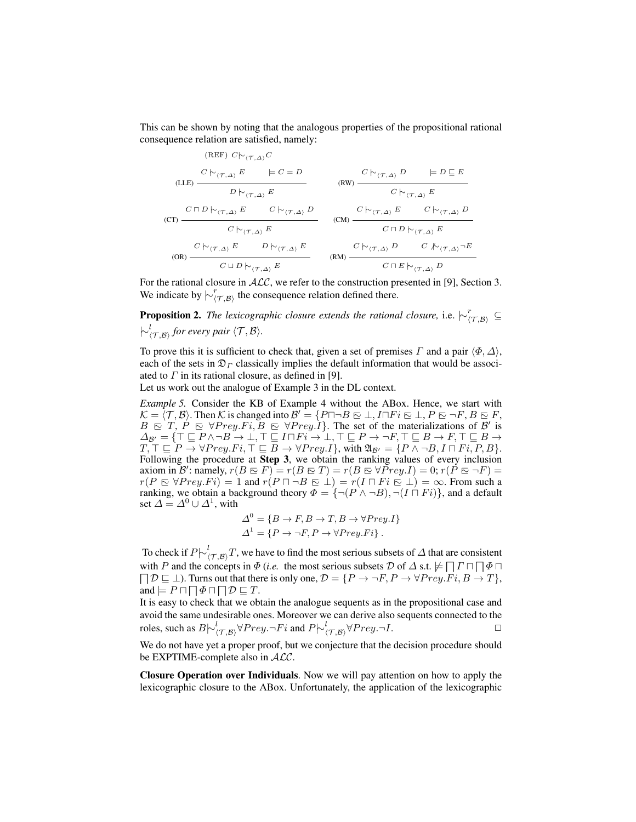This can be shown by noting that the analogous properties of the propositional rational consequence relation are satisfied, namely:

(REF) 
$$
C \rvert_{\neg(\mathcal{T},\Delta)} C
$$
  
\n $C \rvert_{\neg(\mathcal{T},\Delta)} E$   $\models C = D$   
\n $D \rvert_{\neg(\mathcal{T},\Delta)} E$  (RW)  $\frac{C \rvert_{\neg(\mathcal{T},\Delta)} D}{C \rvert_{\neg(\mathcal{T},\Delta)} E}$   
\n(CT)  $\frac{C \sqcap D \rvert_{\neg(\mathcal{T},\Delta)} E}{C \rvert_{\neg(\mathcal{T},\Delta)} E}$  (CW)  $\frac{C \rvert_{\neg(\mathcal{T},\Delta)} D}{C \rvert_{\neg(\mathcal{T},\Delta)} E}$   
\n(CM)  $\frac{C \rvert_{\neg(\mathcal{T},\Delta)} E}{C \sqcap D \rvert_{\neg(\mathcal{T},\Delta)} E}$   
\n(CM)  $\frac{C \rvert_{\neg(\mathcal{T},\Delta)} E}{C \sqcap D \rvert_{\neg(\mathcal{T},\Delta)} E}$   
\n(CM)  $\frac{C \rvert_{\neg(\mathcal{T},\Delta)} E}{C \sqcap D \rvert_{\neg(\mathcal{T},\Delta)} D}$   
\n(CM)  $\frac{C \rvert_{\neg(\mathcal{T},\Delta)} D}{C \sqcap D \rvert_{\neg(\mathcal{T},\Delta)} D}$ 

For the rational closure in  $ALC$ , we refer to the construction presented in [9], Section 3. We indicate by  $\overline{\backslash^{r}(\tau, \mathcal{B})}$  the consequence relation defined there.

**Proposition 2.** The lexicographic closure extends the rational closure, i.e.  $\vdash^r_{(\mathcal{T},\mathcal{B})} \subseteq$  $\vdash^l_{\langle \mathcal{T}, \mathcal{B} \rangle}$  for every pair  $\langle \mathcal{T}, \mathcal{B} \rangle$ *.* 

To prove this it is sufficient to check that, given a set of premises  $\Gamma$  and a pair  $\langle \Phi, \Delta \rangle$ , each of the sets in  $\mathfrak{D}_\Gamma$  classically implies the default information that would be associated to  $\Gamma$  in its rational closure, as defined in [9].

Let us work out the analogue of Example 3 in the DL context.

*Example 5.* Consider the KB of Example 4 without the ABox. Hence, we start with  $\mathcal{K} = \langle \mathcal{T}, \mathcal{B} \rangle$ . Then  $\mathcal{K}$  is changed into  $\mathcal{B}' = \{P \sqcap \neg B \sqsubseteq \bot, I \sqcap Fi \sqsubseteq \bot, P \sqsubseteq \neg F, B \sqsubseteq F,$  $B \nightharpoonup T$ ,  $P \nightharpoonup \ntriangleright Prey. Fi$ ,  $B \nightharpoonup \nightharpoonup Prey.\overline{I}$ . The set of the materializations of  $B'$  is  $\Delta_{\mathcal{B}'} = \{ \top \sqsubseteq P \land \neg B \to \bot, \top \sqsubseteq I \sqcap Fi \to \bot, \top \sqsubseteq P \to \neg F, \top \sqsubseteq B \to F, \top \sqsubseteq B \to \bot\}$  $T, \top \sqsubseteq P \to \forall Prey. Fi, \top \sqsubseteq B \to \forall Prey. I\}$ , with  $\mathfrak{A}_{\mathcal{B}'} = \{P \land \neg B, I \sqcap Fi, P, B\}.$ Following the procedure at Step 3, we obtain the ranking values of every inclusion axiom in B': namely,  $r(B \in F) = r(B \in T) = r(B \in \forall \overline{P}rey. I) = 0; r(\overline{P} \in \neg F) = 0$  $r(P \in \forall \text{Prey}.Fi) = 1$  and  $r(P \cap \neg B \in \bot) = r(I \cap Fi \in \bot) = \infty$ . From such a ranking, we obtain a background theory  $\Phi = \{ \neg (P \land \neg B), \neg (I \cap Fi) \}$ , and a default set  $\Delta = \Delta^0 \cup \Delta^1$ , with

$$
\Delta^{0} = \{ B \to F, B \to T, B \to \forall Prey.I \}
$$
  

$$
\Delta^{1} = \{ P \to \neg F, P \to \forall Prey.Fi \} .
$$

To check if  $P\upharpoonright^l_{\langle\mathcal{T},\mathcal{B}\rangle}T$ , we have to find the most serious subsets of  $\Delta$  that are consistent with P and the concepts in  $\Phi$  (*i.e.* the most serious subsets D of  $\Delta$  s.t.  $\not\models \Box \Gamma \Box \Box \Phi \Box$  $\Box$   $\Box$   $\Box$   $\Box$ . Turns out that there is only one,  $\mathcal{D} = \{P \rightarrow \neg F, P \rightarrow \forall Prey.Fi, B \rightarrow T\}$ , and  $\models P \sqcap \sqcap \Phi \sqcap \sqcap \mathcal{D} \sqsubseteq T$ .

It is easy to check that we obtain the analogue sequents as in the propositional case and avoid the same undesirable ones. Moreover we can derive also sequents connected to the roles, such as  $B \sim_{(\mathcal{T}, \mathcal{B})}^l \forall Prey. \neg Fi$  and  $P \sim_{(\mathcal{T}, \mathcal{B})}^l \forall Prey. \neg I.$   $\Box$ 

We do not have yet a proper proof, but we conjecture that the decision procedure should be EXPTIME-complete also in  $ALC$ .

Closure Operation over Individuals. Now we will pay attention on how to apply the lexicographic closure to the ABox. Unfortunately, the application of the lexicographic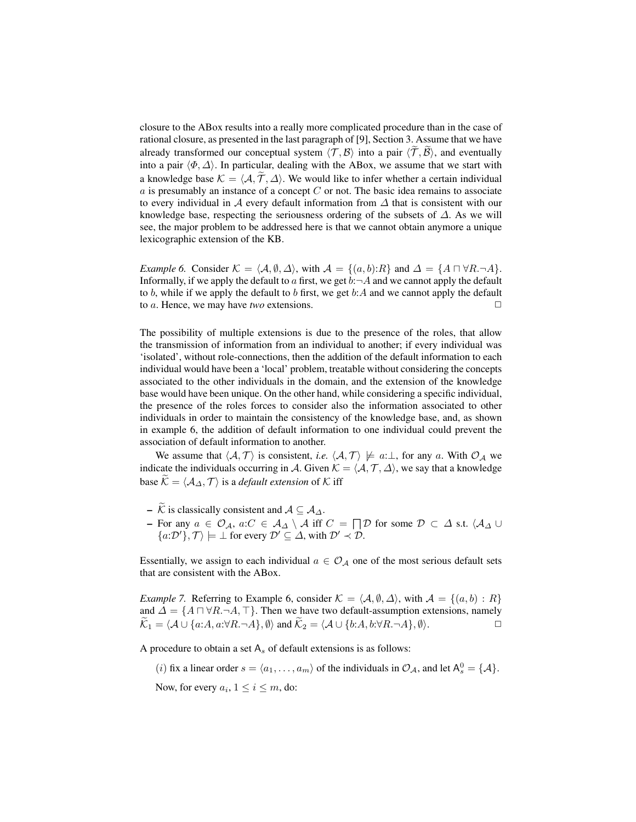closure to the ABox results into a really more complicated procedure than in the case of rational closure, as presented in the last paragraph of [9], Section 3. Assume that we have already transformed our conceptual system  $\langle \mathcal{T}, \mathcal{B} \rangle$  into a pair  $\langle \mathcal{T}, \mathcal{B} \rangle$ , and eventually into a pair  $\langle \Phi, \Delta \rangle$ . In particular, dealing with the ABox, we assume that we start with a knowledge base  $K = \langle A, \tilde{T}, \Delta \rangle$ . We would like to infer whether a certain individual  $a$  is presumably an instance of a concept  $C$  or not. The basic idea remains to associate to every individual in  $\mathcal A$  every default information from  $\Delta$  that is consistent with our knowledge base, respecting the seriousness ordering of the subsets of  $\Delta$ . As we will see, the major problem to be addressed here is that we cannot obtain anymore a unique lexicographic extension of the KB.

*Example 6.* Consider  $K = \langle A, \emptyset, \Delta \rangle$ , with  $A = \{(a, b):R\}$  and  $\Delta = \{A \cap \forall R.\neg A\}.$ Informally, if we apply the default to a first, we get  $b: \neg A$  and we cannot apply the default to b, while if we apply the default to b first, we get  $b:A$  and we cannot apply the default to  $a$ . Hence, we may have *two* extensions.  $\square$ 

The possibility of multiple extensions is due to the presence of the roles, that allow the transmission of information from an individual to another; if every individual was 'isolated', without role-connections, then the addition of the default information to each individual would have been a 'local' problem, treatable without considering the concepts associated to the other individuals in the domain, and the extension of the knowledge base would have been unique. On the other hand, while considering a specific individual, the presence of the roles forces to consider also the information associated to other individuals in order to maintain the consistency of the knowledge base, and, as shown in example 6, the addition of default information to one individual could prevent the association of default information to another.

We assume that  $\langle A, \mathcal{T} \rangle$  is consistent, *i.e.*  $\langle \mathcal{A}, \mathcal{T} \rangle \not\models a:\bot$ , for any a. With  $\mathcal{O}_{\mathcal{A}}$  we indicate the individuals occurring in A. Given  $\mathcal{K} = \langle A, \mathcal{T}, \Delta \rangle$ , we say that a knowledge base  $\widetilde{\mathcal{K}} = \langle \mathcal{A}_{\Delta}, \mathcal{T} \rangle$  is a *default extension* of K iff

- $\widetilde{\mathcal{K}}$  is classically consistent and  $\mathcal{A} \subseteq \mathcal{A}_{\Lambda}$ .
- For any  $a \in \mathcal{O}_{\mathcal{A}}$ ,  $a:C \in \mathcal{A}_{\Delta} \setminus \mathcal{A}$  iff  $C = \bigcap \mathcal{D}$  for some  $\mathcal{D} \subset \Delta$  s.t.  $\langle \mathcal{A}_{\Delta} \cup$  $\{a:\mathcal{D}'\}, \mathcal{T}\rangle \models \bot$  for every  $\mathcal{D}' \subseteq \Delta$ , with  $\mathcal{D}' \prec \mathcal{D}$ .

Essentially, we assign to each individual  $a \in \mathcal{O}_\mathcal{A}$  one of the most serious default sets that are consistent with the ABox.

*Example 7.* Referring to Example 6, consider  $K = \langle A, \emptyset, \Delta \rangle$ , with  $A = \{(a, b) : R\}$ and  $\Delta = \{A \sqcap \forall R.\neg A,\top\}$ . Then we have two default-assumption extensions, namely  $\widetilde{\mathcal{K}}_1 = \langle \mathcal{A} \cup \{a:A, a:\forall R.\neg A\}, \emptyset \rangle$  and  $\widetilde{\mathcal{K}}_2 = \langle \mathcal{A} \cup \{b:A, b:\forall R.\neg A\}, \emptyset \rangle$ .

A procedure to obtain a set  $A_s$  of default extensions is as follows:

(*i*) fix a linear order  $s = \langle a_1, \ldots, a_m \rangle$  of the individuals in  $\mathcal{O}_A$ , and let  $A_s^0 = \{A\}.$ 

Now, for every  $a_i$ ,  $1 \le i \le m$ , do: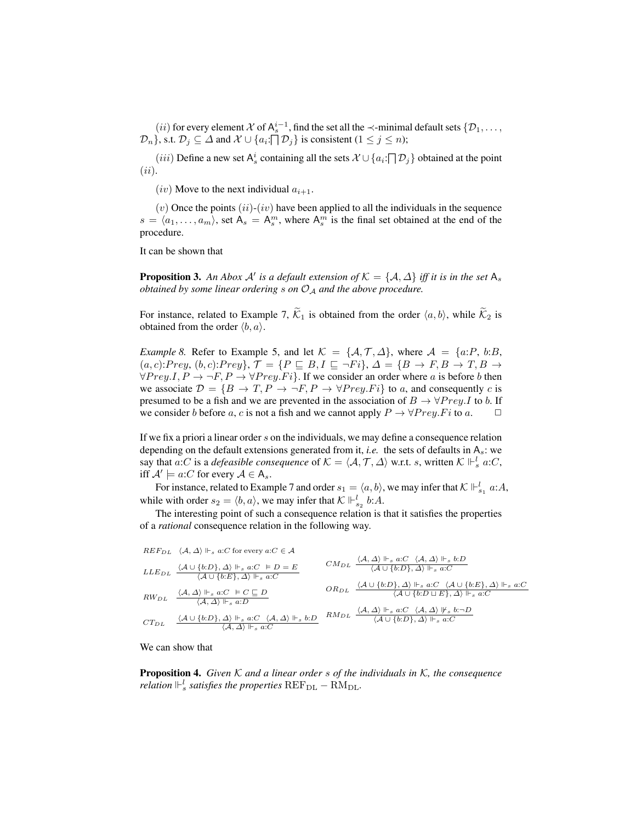(*ii*) for every element  $X$  of  $A_s^{i-1}$ , find the set all the  $\prec$ -minimal default sets  $\{D_1, \ldots,$  $\{\mathcal{D}_n\}$ , s.t.  $\mathcal{D}_j \subseteq \Delta$  and  $\mathcal{X} \cup \{a_i:\bigcap \mathcal{D}_j\}$  is consistent  $(1 \leq j \leq n)$ ;

 $(iii)$  Define a new set  $A_s^i$  containing all the sets  $\mathcal{X} \cup \{a_i : \bigcap \mathcal{D}_j\}$  obtained at the point  $(ii).$ 

(iv) Move to the next individual  $a_{i+1}$ .

 $(v)$  Once the points  $(ii)-(iv)$  have been applied to all the individuals in the sequence  $s = \langle a_1, \ldots, a_m \rangle$ , set  $A_s = A_s^m$ , where  $A_s^m$  is the final set obtained at the end of the procedure.

It can be shown that

**Proposition 3.** An Abox A' is a default extension of  $K = \{A, \Delta\}$  iff it is in the set  $\mathsf{A}_s$ *obtained by some linear ordering* s on  $O_A$  *and the above procedure.* 

For instance, related to Example 7,  $\widetilde{\mathcal{K}}_1$  is obtained from the order  $\langle a, b \rangle$ , while  $\widetilde{\mathcal{K}}_2$  is obtained from the order  $\langle b, a \rangle$ .

*Example 8.* Refer to Example 5, and let  $\mathcal{K} = \{A, \mathcal{T}, \Delta\}$ , where  $\mathcal{A} = \{a : P, b : B,$  $(a, c):Prey, (b, c):Prey\}, \mathcal{T} = \{P \sqsubseteq B, I \sqsubseteq \neg Fi\}, \mathcal{A} = \{B \rightarrow F, B \rightarrow T, B \rightarrow F\}$  $\forall Prey. I, P \rightarrow \neg F, P \rightarrow \forall Prey. Fi$ . If we consider an order where a is before b then we associate  $\mathcal{D} = \{B \to T, P \to \neg F, P \to \forall Prey.Fi\}$  to a, and consequently c is presumed to be a fish and we are prevented in the association of  $B \to \forall Prey. I$  to b. If we consider b before a, c is not a fish and we cannot apply  $P \to \forall Prey. Fi$  to a.  $\Box$ 

If we fix a priori a linear order s on the individuals, we may define a consequence relation depending on the default extensions generated from it, *i.e.* the sets of defaults in  $A_s$ : we say that a:C is a *defeasible consequence* of  $K = \langle A, T, \Delta \rangle$  w.r.t. s, written  $K \Vdash_s^l a:C$ , iff  $\mathcal{A}' \models a:C$  for every  $\mathcal{A} \in A_s$ .

For instance, related to Example 7 and order  $s_1 = \langle a, b \rangle$ , we may infer that  $K \Vdash_{s_1}^l a:A$ , while with order  $s_2 = \langle b, a \rangle$ , we may infer that  $K \Vdash_{s_2}^l b:A$ .

The interesting point of such a consequence relation is that it satisfies the properties of a *rational* consequence relation in the following way.

$$
REF_{DL} \quad \langle A, \Delta \rangle \Vdash_s a:C \text{ for every } a:C \in A
$$
\n
$$
LLE_{DL} \quad \frac{\langle A \cup \{b:D\}, \Delta \rangle \Vdash_s a:C \models D = E}{\langle A \cup \{b:E\}, \Delta \rangle \Vdash_s a:C} \quad\qquad\n\frac{\langle A, \Delta \rangle \Vdash_s a:C}{\langle A \cup \{b:E\}, \Delta \rangle \Vdash_s a:C} \quad\qquad\n\frac{\langle A, \Delta \rangle \Vdash_s a:C \langle A, \Delta \rangle \Vdash_s a:C}{\langle A \cup \{b:E\}, \Delta \rangle \Vdash_s a:C} \quad\qquad\n\frac{\langle A, \Delta \rangle \Vdash_s a:C \langle A, \Delta \rangle \Vdash_s a:C}{\langle A, \Delta \rangle \Vdash_s a:D} \quad\qquad\n\frac{\langle A \cup \{b:D\}, \Delta \rangle \Vdash_s a:C \langle A, \Delta \rangle \Vdash_s a:C}{\langle A \cup \{b:D\}, \Delta \rangle \Vdash_s a:C} \quad\qquad\n\frac{\langle A, \Delta \rangle \Vdash_s a:C \langle A, \Delta \rangle \Vdash_s a:C}{\langle A \cup \{b:D\}, \Delta \rangle \Vdash_s a:C} \quad\qquad\n\frac{\langle A, \Delta \rangle \Vdash_s a:C \langle A, \Delta \rangle \Vdash_s a:C}{\langle A \cup \{b:D\}, \Delta \rangle \Vdash_s a:C} \quad\qquad\n\frac{\langle A, \Delta \rangle \Vdash_s a:C \langle A, \Delta \rangle \Vdash_s a:C}{\langle A \cup \{b:D\}, \Delta \rangle \Vdash_s a:C} \quad\qquad\n\frac{\langle A, \Delta \rangle \Vdash_s a:C \langle A, \Delta \rangle \Vdash_s a(C \cap A,C)}{\langle A \cup \{b:D\}, \Delta \rangle \Vdash_s a(C \cap A,C)} \quad\qquad\n\frac{\langle A, \Delta \rangle \Vdash_s a(C \cap A,C)}{\langle A \cup \{b:D\}, \Delta \rangle \Vdash_s a(C \cap A,C)} \quad\qquad\n\frac{\langle A, \Delta \rangle \Vdash_s a(C \cap A,C)}{\langle A \cup \{b:D\}, \Delta \rangle \Vdash_s a(C \cap A,C)} \quad\qquad\n\frac{\langle A, \Delta \rangle \Vdash_s a(C \cap A,C)}{\langle A, \Delta \rangle \Vdash_s a(C \cap A,C)} \quad\qquad\n\frac{\langle A, \Delta \rangle \Vdash_s a(C \cap A,C)}{\langle A, \Delta \rangle \Vdash_s a(C \
$$

We can show that

Proposition 4. *Given* K *and a linear order* s *of the individuals in* K*, the consequence relation*  $\mathbb{H}_s^l$  *satisfies the properties*  $\text{REF}_{\text{DL}} - \text{RM}_{\text{DL}}$ *.*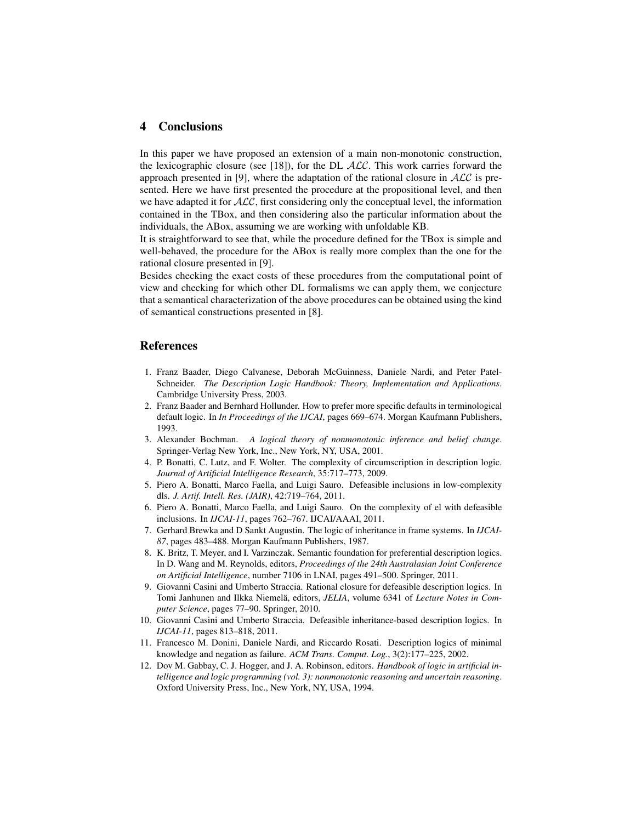### 4 Conclusions

In this paper we have proposed an extension of a main non-monotonic construction, the lexicographic closure (see [18]), for the DL  $ALC$ . This work carries forward the approach presented in [9], where the adaptation of the rational closure in  $\mathcal{ALC}$  is presented. Here we have first presented the procedure at the propositional level, and then we have adapted it for  $\mathcal{ALC}$ , first considering only the conceptual level, the information contained in the TBox, and then considering also the particular information about the individuals, the ABox, assuming we are working with unfoldable KB.

It is straightforward to see that, while the procedure defined for the TBox is simple and well-behaved, the procedure for the ABox is really more complex than the one for the rational closure presented in [9].

Besides checking the exact costs of these procedures from the computational point of view and checking for which other DL formalisms we can apply them, we conjecture that a semantical characterization of the above procedures can be obtained using the kind of semantical constructions presented in [8].

#### References

- 1. Franz Baader, Diego Calvanese, Deborah McGuinness, Daniele Nardi, and Peter Patel-Schneider. *The Description Logic Handbook: Theory, Implementation and Applications*. Cambridge University Press, 2003.
- 2. Franz Baader and Bernhard Hollunder. How to prefer more specific defaults in terminological default logic. In *In Proceedings of the IJCAI*, pages 669–674. Morgan Kaufmann Publishers, 1993.
- 3. Alexander Bochman. *A logical theory of nonmonotonic inference and belief change*. Springer-Verlag New York, Inc., New York, NY, USA, 2001.
- 4. P. Bonatti, C. Lutz, and F. Wolter. The complexity of circumscription in description logic. *Journal of Artificial Intelligence Research*, 35:717–773, 2009.
- 5. Piero A. Bonatti, Marco Faella, and Luigi Sauro. Defeasible inclusions in low-complexity dls. *J. Artif. Intell. Res. (JAIR)*, 42:719–764, 2011.
- 6. Piero A. Bonatti, Marco Faella, and Luigi Sauro. On the complexity of el with defeasible inclusions. In *IJCAI-11*, pages 762–767. IJCAI/AAAI, 2011.
- 7. Gerhard Brewka and D Sankt Augustin. The logic of inheritance in frame systems. In *IJCAI-87*, pages 483–488. Morgan Kaufmann Publishers, 1987.
- 8. K. Britz, T. Meyer, and I. Varzinczak. Semantic foundation for preferential description logics. In D. Wang and M. Reynolds, editors, *Proceedings of the 24th Australasian Joint Conference on Artificial Intelligence*, number 7106 in LNAI, pages 491–500. Springer, 2011.
- 9. Giovanni Casini and Umberto Straccia. Rational closure for defeasible description logics. In Tomi Janhunen and Ilkka Niemelä, editors, *JELIA*, volume 6341 of *Lecture Notes in Computer Science*, pages 77–90. Springer, 2010.
- 10. Giovanni Casini and Umberto Straccia. Defeasible inheritance-based description logics. In *IJCAI-11*, pages 813–818, 2011.
- 11. Francesco M. Donini, Daniele Nardi, and Riccardo Rosati. Description logics of minimal knowledge and negation as failure. *ACM Trans. Comput. Log.*, 3(2):177–225, 2002.
- 12. Dov M. Gabbay, C. J. Hogger, and J. A. Robinson, editors. *Handbook of logic in artificial intelligence and logic programming (vol. 3): nonmonotonic reasoning and uncertain reasoning*. Oxford University Press, Inc., New York, NY, USA, 1994.